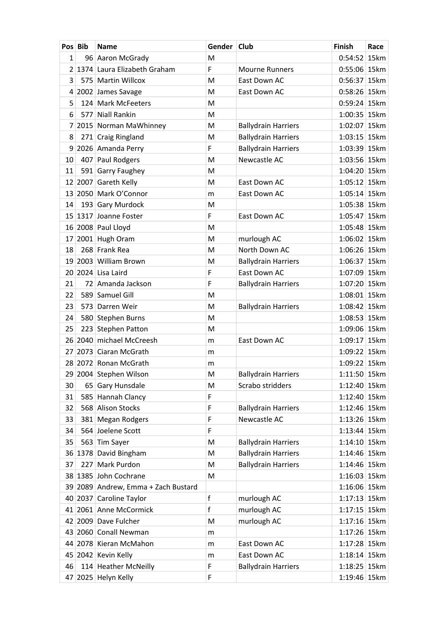|              | Pos Bib | <b>Name</b>                              | Gender | Club                       | Finish          | Race |
|--------------|---------|------------------------------------------|--------|----------------------------|-----------------|------|
| $\mathbf{1}$ |         | 96 Aaron McGrady                         | M      |                            | $0:54:52$ 15 km |      |
|              |         | 2 <sup>1374</sup> Laura Elizabeth Graham | F      | <b>Mourne Runners</b>      | $0:55:06$ 15km  |      |
| 3            |         | 575 Martin Willcox                       | M      | East Down AC               | $0:56:37$ 15 km |      |
|              |         | 4 2002 James Savage                      | M      | East Down AC               | $0:58:26$ 15km  |      |
| 5            |         | 124 Mark McFeeters                       | M      |                            | $0:59:24$ 15km  |      |
| 6            |         | 577 Niall Rankin                         | M      |                            | 1:00:35 15km    |      |
| 7            |         | 2015 Norman MaWhinney                    | M      | <b>Ballydrain Harriers</b> | 1:02:07 15km    |      |
| 8            |         | 271 Craig Ringland                       | M      | <b>Ballydrain Harriers</b> | $1:03:15$ 15 km |      |
|              |         | 9 2026 Amanda Perry                      | F      | <b>Ballydrain Harriers</b> | 1:03:39 15km    |      |
| 10           |         | 407 Paul Rodgers                         | M      | Newcastle AC               | 1:03:56 15km    |      |
| 11           |         | 591 Garry Faughey                        | M      |                            | 1:04:20 15km    |      |
|              |         | 12 2007 Gareth Kelly                     | M      | East Down AC               | $1:05:12$ 15km  |      |
|              |         | 13 2050 Mark O'Connor                    | m      | East Down AC               | $1:05:14$ 15 km |      |
| 14           |         | 193 Gary Murdock                         | M      |                            | 1:05:38 15km    |      |
|              |         | 15 1317 Joanne Foster                    | F      | East Down AC               | 1:05:47 15km    |      |
|              |         | 16 2008 Paul Lloyd                       | M      |                            | 1:05:48 15km    |      |
|              |         | 17 2001 Hugh Oram                        | M      | murlough AC                | 1:06:02 15km    |      |
| 18           |         | 268 Frank Rea                            | M      | North Down AC              | 1:06:26 15km    |      |
|              |         | 19 2003 William Brown                    | M      | <b>Ballydrain Harriers</b> | 1:06:37 15km    |      |
|              |         | 20 2024 Lisa Laird                       | F      | East Down AC               | 1:07:09 15km    |      |
|              |         |                                          | F      |                            |                 |      |
| 21           |         | 72 Amanda Jackson                        |        | <b>Ballydrain Harriers</b> | 1:07:20 15km    |      |
| 22           |         | 589 Samuel Gill                          | M      |                            | 1:08:01 15km    |      |
| 23           |         | 573 Darren Weir                          | M      | <b>Ballydrain Harriers</b> | 1:08:42 15km    |      |
| 24           |         | 580 Stephen Burns                        | M      |                            | 1:08:53 15km    |      |
| 25           |         | 223 Stephen Patton                       | M      |                            | 1:09:06 15km    |      |
|              |         | 26 2040 michael McCreesh                 | m      | East Down AC               | 1:09:17 15km    |      |
|              |         | 27 2073 Ciaran McGrath                   | m      |                            | 1:09:22 15km    |      |
|              |         | 28 2072 Ronan McGrath                    | m      |                            | 1:09:22 15km    |      |
|              |         | 29 2004 Stephen Wilson                   | M      | <b>Ballydrain Harriers</b> | $1:11:50$ 15km  |      |
| 30           |         | 65 Gary Hunsdale                         | M      | Scrabo stridders           | 1:12:40 15km    |      |
| 31           |         | 585 Hannah Clancy                        | F      |                            | 1:12:40 15km    |      |
| 32           |         | 568 Alison Stocks                        | F      | <b>Ballydrain Harriers</b> | 1:12:46 15km    |      |
| 33           |         | 381 Megan Rodgers                        | F      | Newcastle AC               | $1:13:26$ 15km  |      |
| 34           |         | 564 Joelene Scott                        | F      |                            | $1:13:44$ 15km  |      |
| 35           |         | 563 Tim Sayer                            | M      | <b>Ballydrain Harriers</b> | $1:14:10$ 15km  |      |
|              |         | 36 1378 David Bingham                    | M      | <b>Ballydrain Harriers</b> | 1:14:46 15km    |      |
| 37           |         | 227 Mark Purdon                          | M      | <b>Ballydrain Harriers</b> | $1:14:46$ 15km  |      |
|              |         | 38 1385 John Cochrane                    | M      |                            | 1:16:03 15km    |      |
|              |         | 39 2089 Andrew, Emma + Zach Bustard      |        |                            | $1:16:06$ 15km  |      |
|              |         | 40 2037 Caroline Taylor                  | f      | murlough AC                | $1:17:13$ 15 km |      |
|              |         | 41 2061 Anne McCormick                   | f      | murlough AC                | $1:17:15$ 15 km |      |
|              |         | 42 2009 Dave Fulcher                     | M      | murlough AC                | 1:17:16 15km    |      |
|              |         | 43 2060 Conall Newman                    | m      |                            | 1:17:26 15km    |      |
|              |         | 44 2078 Kieran McMahon                   | m      | East Down AC               | 1:17:28 15km    |      |
|              |         | 45 2042 Kevin Kelly                      | m      | East Down AC               | $1:18:14$ 15 km |      |
| 46           |         | 114 Heather McNeilly                     | F      | <b>Ballydrain Harriers</b> | 1:18:25 15km    |      |
|              |         | 47 2025 Helyn Kelly                      | F      |                            | 1:19:46 15km    |      |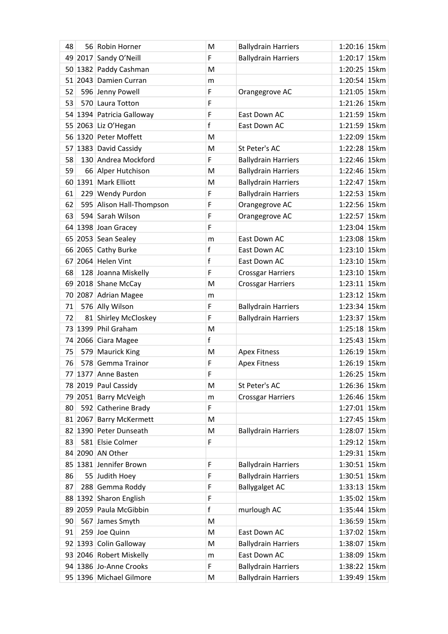| 48 | 56 Robin Horner           | M  | <b>Ballydrain Harriers</b> | 1:20:16 15km    |  |
|----|---------------------------|----|----------------------------|-----------------|--|
|    | 49 2017 Sandy O'Neill     | F. | <b>Ballydrain Harriers</b> | 1:20:17 15km    |  |
|    | 50 1382 Paddy Cashman     | М  |                            | $1:20:25$ 15 km |  |
|    | 51 2043 Damien Curran     | m  |                            | 1:20:54 15km    |  |
| 52 | 596 Jenny Powell          | F  | Orangegrove AC             | 1:21:05 15km    |  |
| 53 | 570 Laura Totton          | F  |                            | 1:21:26 15km    |  |
|    | 54 1394 Patricia Galloway | F  | East Down AC               | $1:21:59$ 15 km |  |
|    | 55 2063 Liz O'Hegan       | f  | East Down AC               | 1:21:59 15km    |  |
|    | 56 1320 Peter Moffett     | M  |                            | 1:22:09 15km    |  |
|    | 57 1383 David Cassidy     | М  | St Peter's AC              | 1:22:28 15km    |  |
| 58 | 130 Andrea Mockford       | F  | <b>Ballydrain Harriers</b> | 1:22:46 15km    |  |
| 59 | 66 Alper Hutchison        | М  | <b>Ballydrain Harriers</b> | 1:22:46 15km    |  |
|    | 60 1391 Mark Elliott      | M  | <b>Ballydrain Harriers</b> | 1:22:47 15km    |  |
| 61 | 229 Wendy Purdon          | F  | <b>Ballydrain Harriers</b> | 1:22:53 15km    |  |
| 62 | 595 Alison Hall-Thompson  | F  | Orangegrove AC             | 1:22:56 15km    |  |
| 63 | 594 Sarah Wilson          | F  | Orangegrove AC             | 1:22:57 15km    |  |
|    | 64 1398 Joan Gracey       | F  |                            | 1:23:04 15km    |  |
|    | 65 2053 Sean Sealey       | m  | East Down AC               | 1:23:08 15km    |  |
|    | 66 2065 Cathy Burke       | f  | East Down AC               | 1:23:10 15km    |  |
|    | 2064 Helen Vint           | f  | East Down AC               | 1:23:10 15km    |  |
| 67 |                           |    |                            |                 |  |
| 68 | 128 Joanna Miskelly       | F  | <b>Crossgar Harriers</b>   | $1:23:10$ 15km  |  |
|    | 69 2018 Shane McCay       | М  | <b>Crossgar Harriers</b>   | 1:23:11 15km    |  |
|    | 70 2087 Adrian Magee      | m  |                            | $1:23:12$ 15 km |  |
| 71 | 576 Ally Wilson           | F  | <b>Ballydrain Harriers</b> | 1:23:34 15km    |  |
| 72 | 81 Shirley McCloskey      | F  | <b>Ballydrain Harriers</b> | 1:23:37 15km    |  |
|    | 73   1399   Phil Graham   | M  |                            | 1:25:18 15km    |  |
|    | 74 2066 Ciara Magee       | f  |                            | 1:25:43 15km    |  |
| 75 | 579 Maurick King          | M  | <b>Apex Fitness</b>        | 1:26:19 15km    |  |
| 76 | 578 Gemma Trainor         | F  | <b>Apex Fitness</b>        | $1:26:19$ 15 km |  |
|    | 77 1377 Anne Basten       | F  |                            | 1:26:25 15km    |  |
|    | 78 2019 Paul Cassidy      | M  | St Peter's AC              | 1:26:36 15km    |  |
|    | 79 2051 Barry McVeigh     | m  | <b>Crossgar Harriers</b>   | 1:26:46 15km    |  |
| 80 | 592 Catherine Brady       | F  |                            | 1:27:01 15km    |  |
|    | 81 2067 Barry McKermett   | M  |                            | 1:27:45 15km    |  |
|    | 82 1390 Peter Dunseath    | M  | <b>Ballydrain Harriers</b> | 1:28:07 15km    |  |
| 83 | 581 Elsie Colmer          | F  |                            | 1:29:12 15km    |  |
|    | 84 2090 AN Other          |    |                            | 1:29:31 15km    |  |
|    | 85 1381 Jennifer Brown    | F  | <b>Ballydrain Harriers</b> | 1:30:51 15km    |  |
| 86 | 55 Judith Hoey            | F  | <b>Ballydrain Harriers</b> | $1:30:51$ 15km  |  |
| 87 | 288 Gemma Roddy           | F  | <b>Ballygalget AC</b>      | $1:33:13$ 15 km |  |
|    | 88 1392 Sharon English    | F  |                            | 1:35:02 15km    |  |
|    | 89 2059 Paula McGibbin    | f  | murlough AC                | 1:35:44 15km    |  |
| 90 | 567 James Smyth           | M  |                            | 1:36:59 15km    |  |
| 91 | 259 Joe Quinn             | M  | East Down AC               | 1:37:02 15km    |  |
|    | 92 1393 Colin Galloway    | M  | <b>Ballydrain Harriers</b> | 1:38:07 15km    |  |
|    | 93 2046 Robert Miskelly   | m  | East Down AC               | 1:38:09 15km    |  |
|    | 94 1386 Jo-Anne Crooks    | F  | <b>Ballydrain Harriers</b> | 1:38:22 15km    |  |
|    | 95 1396 Michael Gilmore   | M  | <b>Ballydrain Harriers</b> | 1:39:49 15km    |  |
|    |                           |    |                            |                 |  |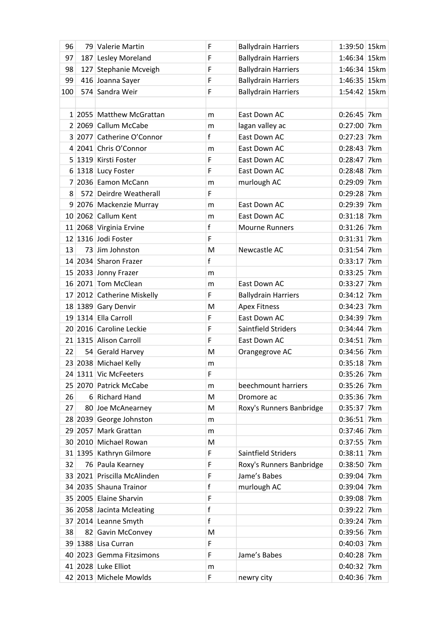| 96  |     | 79 Valerie Martin           | F            | <b>Ballydrain Harriers</b> | 1:39:50 15km    |  |
|-----|-----|-----------------------------|--------------|----------------------------|-----------------|--|
| 97  |     | 187 Lesley Moreland         | F            | <b>Ballydrain Harriers</b> | 1:46:34 15km    |  |
| 98  | 127 | Stephanie Mcveigh           | F            | <b>Ballydrain Harriers</b> | 1:46:34 15km    |  |
| 99  |     | 416 Joanna Sayer            | F            | <b>Ballydrain Harriers</b> | $1:46:35$ 15 km |  |
| 100 |     | 574 Sandra Weir             | F            | <b>Ballydrain Harriers</b> | 1:54:42 15km    |  |
|     |     |                             |              |                            |                 |  |
|     |     | 1 2055 Matthew McGrattan    | m            | East Down AC               | $0:26:45$ 7 km  |  |
|     |     | 2 2069 Callum McCabe        | m            | lagan valley ac            | 0:27:00 7km     |  |
|     |     | 3 2077 Catherine O'Connor   | f            | East Down AC               | $0:27:23$ 7 km  |  |
|     |     | 4 2041 Chris O'Connor       | m            | East Down AC               | $0:28:43$ 7 km  |  |
|     |     | 5 1319 Kirsti Foster        | F            | East Down AC               | $0:28:47$ 7 km  |  |
|     |     | $6 1318 $ Lucy Foster       | F            | East Down AC               | $0:28:48$ 7 km  |  |
|     |     | 7 2036 Eamon McCann         | m            | murlough AC                | 0:29:09 7km     |  |
| 8   |     | 572 Deirdre Weatherall      | F            |                            | $0:29:28$ 7 km  |  |
|     |     | 9 2076 Mackenzie Murray     | m            | East Down AC               | 0:29:39 7km     |  |
|     |     | 10 2062 Callum Kent         | m            | East Down AC               | $0:31:18$ 7 km  |  |
|     |     | 11 2068 Virginia Ervine     | $\mathsf{f}$ | <b>Mourne Runners</b>      | $0:31:26$ 7 km  |  |
|     |     | 12 1316 Jodi Foster         | F            |                            | $0:31:31$ 7 km  |  |
| 13  |     | 73 Jim Johnston             | M            | Newcastle AC               | $0:31:54$ 7 km  |  |
|     |     | 14 2034 Sharon Frazer       | $\mathsf{f}$ |                            | $0:33:17$ 7 km  |  |
|     |     | 15 2033 Jonny Frazer        | m            |                            | $0:33:25$ 7 km  |  |
|     |     | 16 2071 Tom McClean         | m            | East Down AC               | $0:33:27$ 7 km  |  |
|     |     | 17 2012 Catherine Miskelly  | F            | <b>Ballydrain Harriers</b> | $0:34:12$ 7 km  |  |
|     |     | 18 1389 Gary Denvir         | M            | <b>Apex Fitness</b>        | $0:34:23$ 7 km  |  |
|     |     | 19 1314 Ella Carroll        | F            | East Down AC               | $0:34:39$ 7 km  |  |
|     |     | 20 2016 Caroline Leckie     | F            | Saintfield Striders        | $0:34:44$ 7 km  |  |
|     |     | 21 1315 Alison Carroll      | F            | East Down AC               | $0:34:51$ 7 km  |  |
| 22  |     | 54 Gerald Harvey            | M            | Orangegrove AC             | $0:34:56$ 7 km  |  |
|     |     | 23 2038 Michael Kelly       | m            |                            | $0:35:18$ 7 km  |  |
|     |     | 24 1311 Vic McFeeters       | F            |                            | $0:35:26$ 7 km  |  |
|     |     | 25 2070 Patrick McCabe      | m            | beechmount harriers        | $0:35:26$ 7 km  |  |
| 26  |     | 6 Richard Hand              | М            | Dromore ac                 | 0:35:36 7km     |  |
| 27  |     | 80 Joe McAnearney           | M            | Roxy's Runners Banbridge   | $0:35:37$ 7 km  |  |
|     |     | 28 2039 George Johnston     | m            |                            | $0:36:51$ 7 km  |  |
|     |     | 29 2057 Mark Grattan        | m            |                            | $0:37:46$ 7 km  |  |
|     |     | 30 2010 Michael Rowan       | M            |                            | $0:37:55$ 7 km  |  |
|     |     | 31 1395 Kathryn Gilmore     | F            | Saintfield Striders        | $0:38:11$ 7 km  |  |
| 32  |     | 76 Paula Kearney            | F            | Roxy's Runners Banbridge   | 0:38:50 7km     |  |
|     |     | 33 2021 Priscilla McAlinden | F            | Jame's Babes               | $0:39:04$ 7 km  |  |
|     |     | 34 2035 Shauna Trainor      | f            | murlough AC                | 0:39:04 7km     |  |
|     |     | 35 2005 Elaine Sharvin      | F            |                            | 0:39:08 7km     |  |
|     |     | 36 2058 Jacinta Mcleating   | f            |                            | 0:39:22 7km     |  |
|     |     | 37 2014 Leanne Smyth        | f            |                            | $0:39:24$ 7 km  |  |
| 38  |     | 82 Gavin McConvey           | M            |                            | 0:39:56 7km     |  |
|     |     | 39 1388 Lisa Curran         | F            |                            | $0:40:03$ 7 km  |  |
|     |     | 40 2023 Gemma Fitzsimons    | F            | Jame's Babes               | $0:40:28$ 7 km  |  |
|     |     | 41 2028 Luke Elliot         | m            |                            | $0:40:32$ 7 km  |  |
|     |     | 42 2013 Michele Mowlds      | F            | newry city                 | 0:40:36 7km     |  |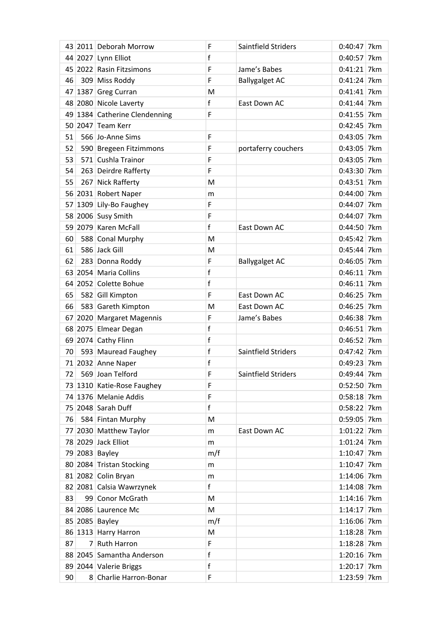|    |   | 43 2011 Deborah Morrow                              | F            | Saintfield Striders   | 0:40:47        | 7km |
|----|---|-----------------------------------------------------|--------------|-----------------------|----------------|-----|
|    |   | 44 2027 Lynn Elliot                                 | f            |                       | $0:40:57$ 7 km |     |
|    |   | 45 2022 Rasin Fitzsimons                            | F            | Jame's Babes          | $0:41:21$ 7 km |     |
| 46 |   | 309 Miss Roddy                                      | F            | <b>Ballygalget AC</b> | $0:41:24$ 7 km |     |
|    |   | 47 1387 Greg Curran                                 | M            |                       | $0:41:41$ 7 km |     |
|    |   | 48 2080 Nicole Laverty                              | f            | East Down AC          | $0:41:44$ 7 km |     |
|    |   | 49 1384 Catherine Clendenning                       | F            |                       | $0:41:55$ 7 km |     |
|    |   | 50 2047 Team Kerr                                   |              |                       | $0:42:45$ 7 km |     |
| 51 |   | 566 Jo-Anne Sims                                    | F            |                       | $0:43:05$ 7 km |     |
| 52 |   | 590 Bregeen Fitzimmons                              | F            | portaferry couchers   | $0:43:05$ 7 km |     |
| 53 |   | 571 Cushla Trainor                                  | F            |                       | $0:43:05$ 7 km |     |
| 54 |   | 263 Deirdre Rafferty                                | F            |                       | $0:43:30$ 7 km |     |
| 55 |   | 267 Nick Rafferty                                   | M            |                       | $0:43:51$ 7 km |     |
|    |   | 56 2031 Robert Naper                                | m            |                       | $0:44:00$ 7 km |     |
|    |   | 57 1309 Lily-Bo Faughey                             | F            |                       | $0:44:07$ 7 km |     |
|    |   | 58 2006 Susy Smith                                  | F            |                       | $0:44:07$ 7 km |     |
|    |   | 59 2079 Karen McFall                                | $\mathsf{f}$ | East Down AC          | $0:44:50$ 7 km |     |
| 60 |   | 588 Conal Murphy                                    | M            |                       | $0:45:42$ 7 km |     |
| 61 |   | 586 Jack Gill                                       | М            |                       | $0:45:44$ 7 km |     |
| 62 |   | 283 Donna Roddy                                     | F            | <b>Ballygalget AC</b> | $0:46:05$ 7 km |     |
|    |   | 63 2054 Maria Collins                               | f            |                       | $0:46:11$ 7 km |     |
|    |   | 64 2052 Colette Bohue                               | f            |                       | $0:46:11$ 7 km |     |
| 65 |   | 582 Gill Kimpton                                    | F            | East Down AC          | $0:46:25$ 7 km |     |
| 66 |   | 583 Gareth Kimpton                                  | M            | East Down AC          | $0:46:25$ 7 km |     |
|    |   | 67 2020 Margaret Magennis                           | F            | Jame's Babes          | $0:46:38$ 7 km |     |
|    |   | 68 2075 Elmear Degan                                | f            |                       | $0:46:51$ 7 km |     |
|    |   | 69 2074 Cathy Flinn                                 | f            |                       | $0:46:52$ 7 km |     |
| 70 |   | 593 Mauread Faughey                                 | f            | Saintfield Striders   | $0:47:42$ 7 km |     |
|    |   | 71 2032 Anne Naper                                  | f            |                       | $0:49:23$ 7 km |     |
| 72 |   | 569 Joan Telford                                    | F            | Saintfield Striders   | $0:49:44$ 7 km |     |
|    |   |                                                     |              |                       | $0:52:50$ 7 km |     |
|    |   | 73 1310 Katie-Rose Faughey<br>74 1376 Melanie Addis | F            |                       |                |     |
|    |   | 75 2048 Sarah Duff                                  | F<br>f       |                       | $0:58:18$ 7 km |     |
|    |   |                                                     |              |                       | $0:58:22$ 7 km |     |
| 76 |   | 584 Fintan Murphy                                   | M            |                       | $0:59:05$ 7 km |     |
|    |   | 77 2030 Matthew Taylor                              | m            | East Down AC          | 1:01:22 7km    |     |
|    |   | 78 2029 Jack Elliot                                 | m            |                       | 1:01:24 7km    |     |
|    |   | 79 2083 Bayley                                      | m/f          |                       | 1:10:47 7km    |     |
|    |   | 80 2084 Tristan Stocking                            | m            |                       | 1:10:47 7km    |     |
|    |   | 81 2082 Colin Bryan                                 | m            |                       | 1:14:06 7km    |     |
|    |   | 82 2081 Calsia Wawrzynek                            | f            |                       | 1:14:08 7km    |     |
| 83 |   | 99 Conor McGrath                                    | М            |                       | 1:14:16 7km    |     |
|    |   | 84 2086 Laurence Mc                                 | M            |                       | $1:14:17$ 7 km |     |
|    |   | 85 2085 Bayley                                      | m/f          |                       | 1:16:06 7km    |     |
|    |   | 86 1313 Harry Harron                                | M            |                       | 1:18:28 7km    |     |
| 87 | 7 | <b>Ruth Harron</b>                                  | F            |                       | 1:18:28 7km    |     |
|    |   | 88 2045 Samantha Anderson                           | f            |                       | 1:20:16 7km    |     |
|    |   | 89 2044 Valerie Briggs                              | f            |                       | 1:20:17 7km    |     |
| 90 |   | 8 Charlie Harron-Bonar                              | F            |                       | 1:23:59 7km    |     |